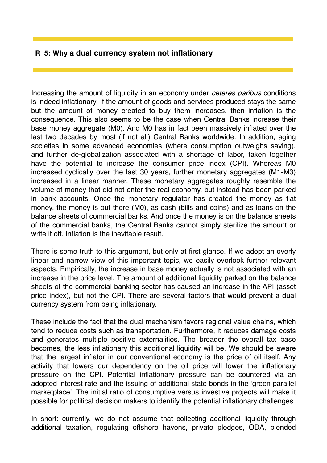## **R\_5: Why a dual currency system not inflationary**

Increasing the amount of liquidity in an economy under *ceteres paribus* conditions is indeed inflationary. If the amount of goods and services produced stays the same but the amount of money created to buy them increases, then inflation is the consequence. This also seems to be the case when Central Banks increase their base money aggregate (M0). And M0 has in fact been massively inflated over the last two decades by most (if not all) Central Banks worldwide. In addition, aging societies in some advanced economies (where consumption outweighs saving), and further de-globalization associated with a shortage of labor, taken together have the potential to increase the consumer price index (CPI). Whereas M0 increased cyclically over the last 30 years, further monetary aggregates (M1–M3) increased in a linear manner. These monetary aggregates roughly resemble the volume of money that did not enter the real economy, but instead has been parked in bank accounts. Once the monetary regulator has created the money as fiat money, the money is out there (M0), as cash (bills and coins) and as loans on the balance sheets of commercial banks. And once the money is on the balance sheets of the commercial banks, the Central Banks cannot simply sterilize the amount or write it off. Inflation is the inevitable result.

There is some truth to this argument, but only at first glance. If we adopt an overly linear and narrow view of this important topic, we easily overlook further relevant aspects. Empirically, the increase in base money actually is not associated with an increase in the price level. The amount of additional liquidity parked on the balance sheets of the commercial banking sector has caused an increase in the API (asset price index), but not the CPI. There are several factors that would prevent a dual currency system from being inflationary.

These include the fact that the dual mechanism favors regional value chains, which tend to reduce costs such as transportation. Furthermore, it reduces damage costs and generates multiple positive externalities. The broader the overall tax base becomes, the less inflationary this additional liquidity will be. We should be aware that the largest inflator in our conventional economy is the price of oil itself. Any activity that lowers our dependency on the oil price will lower the inflationary pressure on the CPI. Potential inflationary pressure can be countered via an adopted interest rate and the issuing of additional state bonds in the 'green parallel marketplace'. The initial ratio of consumptive versus investive projects will make it possible for political decision makers to identify the potential inflationary challenges.

In short: currently, we do not assume that collecting additional liquidity through additional taxation, regulating offshore havens, private pledges, ODA, blended